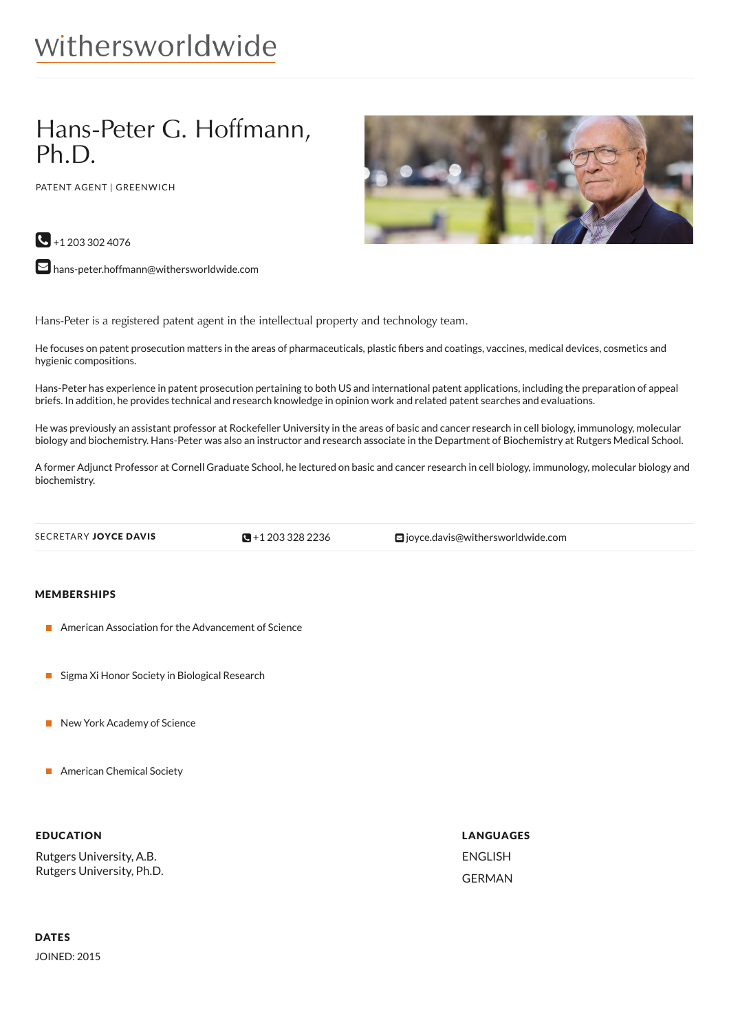# withersworldwide

## Hans-Peter G. Hoffmann, Ph.D.

PATENT AGENT | GREENWICH



 $\bigodot$  +1 203 302 4076

 $\blacktriangleright$  [hans-peter.hoffmann@withersworldwide.com](mailto:hans-peter.hoffmann@withersworldwide.com?subject=Website Enquiry - Profile Page)

Hans-Peter is a registered patent agent in the intellectual property and technology team.

He focuses on patent prosecution matters in the areas of pharmaceuticals, plastic bers and coatings, vaccines, medical devices, cosmetics and hygienic compositions.

Hans-Peter has experience in patent prosecution pertaining to both US and international patent applications, including the preparation of appeal briefs. In addition, he provides technical and research knowledge in opinion work and related patent searches and evaluations.

He was previously an assistant professor at Rockefeller University in the areas of basic and cancer research in cell biology, immunology, molecular biology and biochemistry. Hans-Peter was also an instructor and research associate in the Department of Biochemistry at Rutgers Medical School.

A former Adjunct Professor at Cornell Graduate School, he lectured on basic and cancer research in cell biology, immunology, molecular biology and biochemistry.

 $\blacksquare$ +1 203 328 2236

SECRETARY JOYCE DAVIS **CONFING THE SECRETARY JOYCE DAVIS** 

#### MEMBERSHIPS

- **American Association for the Advancement of Science**
- Sigma Xi Honor Society in Biological Research
- New York Academy of Science
- **American Chemical Society**

#### EDUCATION

Rutgers University, A.B. Rutgers University, Ph.D. LANGUAGES ENGLISH GERMAN

### DATES

JOINED: 2015